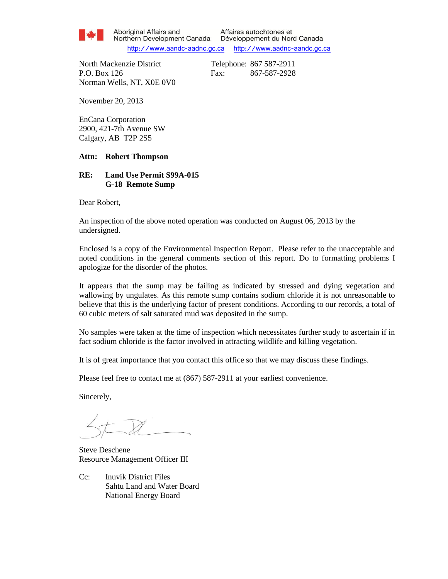

Aboriginal Affairs and Northern Development Canada

Affaires autochtones et Développement du Nord Canada http://www.aandc-aadnc.gc.ca http://www.aadnc-aandc.gc.ca

North Mackenzie District Telephone: 867 587-2911 P.O. Box 126 Fax: 867-587-2928 Norman Wells, NT, X0E 0V0

November 20, 2013

EnCana Corporation 2900, 421-7th Avenue SW Calgary, AB T2P 2S5

#### **Attn: Robert Thompson**

#### **RE: Land Use Permit S99A-015 G-18 Remote Sump**

Dear Robert,

An inspection of the above noted operation was conducted on August 06, 2013 by the undersigned.

Enclosed is a copy of the Environmental Inspection Report. Please refer to the unacceptable and noted conditions in the general comments section of this report. Do to formatting problems I apologize for the disorder of the photos.

It appears that the sump may be failing as indicated by stressed and dying vegetation and wallowing by ungulates. As this remote sump contains sodium chloride it is not unreasonable to believe that this is the underlying factor of present conditions. According to our records, a total of 60 cubic meters of salt saturated mud was deposited in the sump.

No samples were taken at the time of inspection which necessitates further study to ascertain if in fact sodium chloride is the factor involved in attracting wildlife and killing vegetation.

It is of great importance that you contact this office so that we may discuss these findings.

Please feel free to contact me at (867) 587-2911 at your earliest convenience.

Sincerely,

Steve Deschene Resource Management Officer III

Cc: Inuvik District Files Sahtu Land and Water Board National Energy Board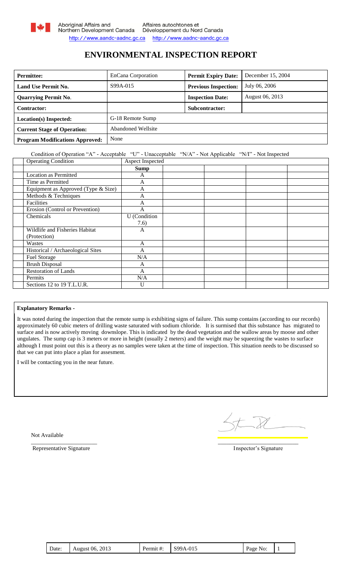

## **ENVIRONMENTAL INSPECTION REPORT**

| <b>Permittee:</b>                      | EnCana Corporation        | <b>Permit Expiry Date:</b>  | December 15, 2004 |
|----------------------------------------|---------------------------|-----------------------------|-------------------|
| <b>Land Use Permit No.</b>             | S99A-015                  | <b>Previous Inspection:</b> | July 06, 2006     |
| <b>Quarrying Permit No.</b>            |                           | <b>Inspection Date:</b>     | August 06, 2013   |
| Contractor:                            |                           | Subcontractor:              |                   |
| Location(s) Inspected:                 | G-18 Remote Sump          |                             |                   |
| <b>Current Stage of Operation:</b>     | <b>Abandoned Wellsite</b> |                             |                   |
| <b>Program Modifications Approved:</b> | None                      |                             |                   |

### Condition of Operation "A" - Acceptable "U" - Unacceptable "N/A" - Not Applicable "N/I" - Not Inspected

| <b>Operating Condition</b>          | Aspect Inspected    |  |  |
|-------------------------------------|---------------------|--|--|
|                                     | <b>Sump</b>         |  |  |
| <b>Location as Permitted</b>        | A                   |  |  |
| Time as Permitted                   | $\overline{A}$      |  |  |
| Equipment as Approved (Type & Size) | A                   |  |  |
| Methods & Techniques                | A                   |  |  |
| Facilities                          | A                   |  |  |
| Erosion (Control or Prevention)     | $\overline{A}$      |  |  |
| Chemicals                           | <b>U</b> (Condition |  |  |
|                                     | 7.6)                |  |  |
| Wildlife and Fisheries Habitat      | A                   |  |  |
| (Protection)                        |                     |  |  |
| Wastes                              | A                   |  |  |
| Historical / Archaeological Sites   | A                   |  |  |
| Fuel Storage                        | N/A                 |  |  |
| <b>Brush Disposal</b>               | A                   |  |  |
| <b>Restoration of Lands</b>         | A                   |  |  |
| Permits                             | N/A                 |  |  |
| Sections 12 to 19 T.L.U.R.          | U                   |  |  |

### **Explanatory Remarks -**

It was noted during the inspection that the remote sump is exhibiting signs of failure. This sump contains (according to our records) approximately 60 cubic meters of drilling waste saturated with sodium chloride. It is surmised that this substance has migrated to surface and is now actively moving downslope. This is indicated by the dead vegetation and the wallow areas by moose and other ungulates. The sump cap is 3 meters or more in height (usually 2 meters) and the weight may be squeezing the wastes to surface although I must point out this is a theory as no samples were taken at the time of inspection. This situation needs to be discussed so that we can put into place a plan for assesment.

I will be contacting you in the near future.

Not Available

Representative Signature Inspector's Signature

\_\_\_\_\_\_\_\_\_\_\_\_\_\_\_\_\_\_\_\_\_\_\_ \_\_\_\_\_\_\_\_\_\_\_\_\_\_\_\_\_\_\_\_\_\_\_\_\_\_\_\_

| Date: | 2013<br>August 06, | Permit #: | S99A-015 | $Page_1$<br>NO: |  |
|-------|--------------------|-----------|----------|-----------------|--|
|-------|--------------------|-----------|----------|-----------------|--|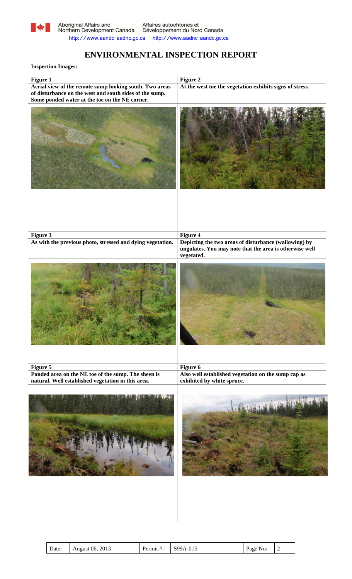

# **ENVIRONMENTAL INSPECTION REPORT**

### **Inspection Images:**

| Figure 2                                                                                                                                   |
|--------------------------------------------------------------------------------------------------------------------------------------------|
| At the west toe the vegetation exhibits signs of stress.                                                                                   |
|                                                                                                                                            |
|                                                                                                                                            |
| Figure 4<br>Depicting the two areas of disturbance (wallowing) by<br>ungulates. You may note that the area is otherwise well<br>vegetated. |
|                                                                                                                                            |
| Figure 6                                                                                                                                   |
| Also well established vegetation on the sump cap as<br>exhibited by white spruce.                                                          |
|                                                                                                                                            |
|                                                                                                                                            |

| Date: | August 06, 2013 | Permit#: | S99A-015 | Page No: |  |
|-------|-----------------|----------|----------|----------|--|
|-------|-----------------|----------|----------|----------|--|